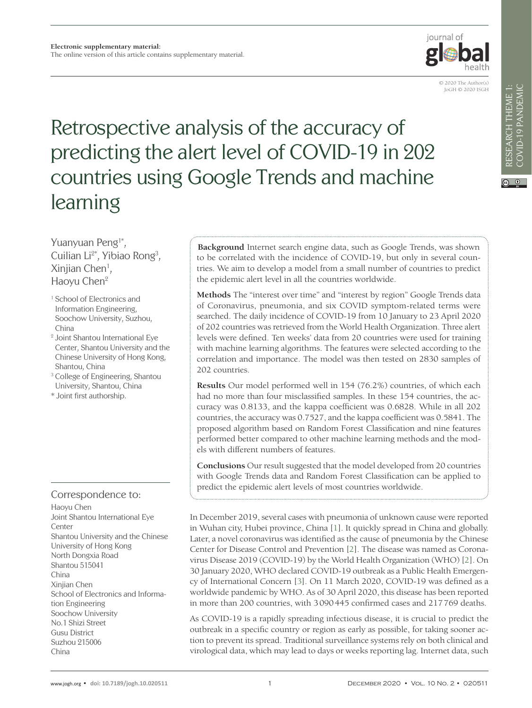

#### © 2020 The Author(s) JoGH © 2020 ISGH

# Retrospective analysis of the accuracy of predicting the alert level of COVID-19 in 202 countries using Google Trends and machine learning

Yuanyuan Peng<sup>1\*</sup>, Cuilian Li<sup>2\*</sup>, Yibiao Rong<sup>3</sup>, Xinjian Chen<sup>1</sup>, Haoyu Chen<sup>2</sup>

- <sup>1</sup> School of Electronics and Information Engineering, Soochow University, Suzhou, China
- <sup>2</sup> Joint Shantou International Eye Center, Shantou University and the Chinese University of Hong Kong, Shantou, China
- <sup>3</sup> College of Engineering, Shantou University, Shantou, China
- \* Joint first authorship.

## Correspondence to:

Haoyu Chen Joint Shantou International Eye Center Shantou University and the Chinese University of Hong Kong North Dongxia Road Shantou 515041 China Xinjian Chen School of Electronics and Information Engineering Soochow University No.1 Shizi Street Gusu District Suzhou 215006 China

**Background** Internet search engine data, such as Google Trends, was shown to be correlated with the incidence of COVID-19, but only in several countries. We aim to develop a model from a small number of countries to predict the epidemic alert level in all the countries worldwide.

**Methods** The "interest over time" and "interest by region" Google Trends data of Coronavirus, pneumonia, and six COVID symptom-related terms were searched. The daily incidence of COVID-19 from 10 January to 23 April 2020 of 202 countries was retrieved from the World Health Organization. Three alert levels were defined. Ten weeks' data from 20 countries were used for training with machine learning algorithms. The features were selected according to the correlation and importance. The model was then tested on 2830 samples of 202 countries.

**Results** Our model performed well in 154 (76.2%) countries, of which each had no more than four misclassified samples. In these 154 countries, the accuracy was 0.8133, and the kappa coefficient was 0.6828. While in all 202 countries, the accuracy was 0.7527, and the kappa coefficient was 0.5841. The proposed algorithm based on Random Forest Classification and nine features performed better compared to other machine learning methods and the models with different numbers of features.

**Conclusions** Our result suggested that the model developed from 20 countries with Google Trends data and Random Forest Classification can be applied to predict the epidemic alert levels of most countries worldwide.

In December 2019, several cases with pneumonia of unknown cause were reported in Wuhan city, Hubei province, China [\[1](#page-6-0)]. It quickly spread in China and globally. Later, a novel coronavirus was identified as the cause of pneumonia by the Chinese Center for Disease Control and Prevention [\[2](#page-6-1)]. The disease was named as Coronavirus Disease 2019 (COVID-19) by the World Health Organization (WHO) [\[2\]](#page-6-1). On 30 January 2020, WHO declared COVID-19 outbreak as a Public Health Emergency of International Concern [[3](#page-6-2)]. On 11 March 2020, COVID-19 was defined as a worldwide pandemic by WHO. As of 30 April 2020, this disease has been reported in more than 200 countries, with 3090445 confirmed cases and 217769 deaths.

As COVID-19 is a rapidly spreading infectious disease, it is crucial to predict the outbreak in a specific country or region as early as possible, for taking sooner action to prevent its spread. Traditional surveillance systems rely on both clinical and virological data, which may lead to days or weeks reporting lag. Internet data, such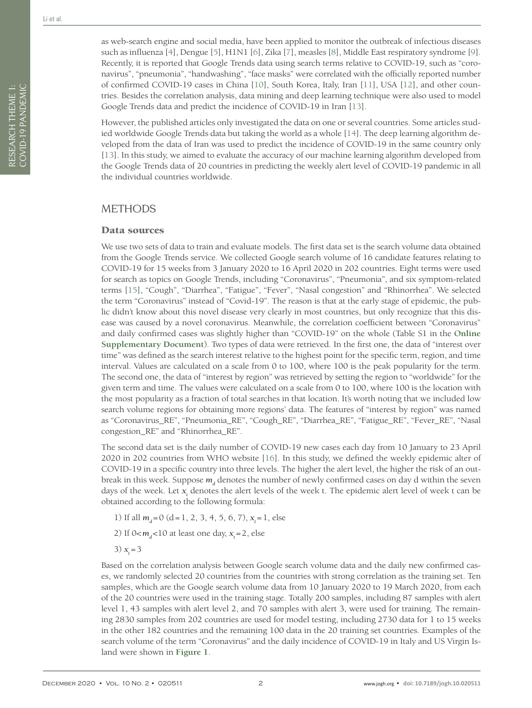as web-search engine and social media, have been applied to monitor the outbreak of infectious diseases such as influenza [[4\]](#page-6-3), Dengue [[5](#page-6-4)], H1N1 [\[6](#page-6-5)], Zika [[7\]](#page-6-6), measles [[8](#page-6-7)], Middle East respiratory syndrome [[9](#page-6-8)]. Recently, it is reported that Google Trends data using search terms relative to COVID-19, such as "coronavirus", "pneumonia", "handwashing", "face masks" were correlated with the officially reported number of confirmed COVID-19 cases in China [[10](#page-6-9)], South Korea, Italy, Iran [[11](#page-6-10)], USA [\[12](#page-6-11)], and other countries. Besides the correlation analysis, data mining and deep learning technique were also used to model Google Trends data and predict the incidence of COVID-19 in Iran [[13\]](#page-7-0).

However, the published articles only investigated the data on one or several countries. Some articles studied worldwide Google Trends data but taking the world as a whole [[14\]](#page-7-1). The deep learning algorithm developed from the data of Iran was used to predict the incidence of COVID-19 in the same country only [[13](#page-7-0)]. In this study, we aimed to evaluate the accuracy of our machine learning algorithm developed from the Google Trends data of 20 countries in predicting the weekly alert level of COVID-19 pandemic in all the individual countries worldwide.

## METHODS

#### Data sources

We use two sets of data to train and evaluate models. The first data set is the search volume data obtained from the Google Trends service. We collected Google search volume of 16 candidate features relating to COVID-19 for 15 weeks from 3 January 2020 to 16 April 2020 in 202 countries. Eight terms were used for search as topics on Google Trends, including "Coronavirus", "Pneumonia", and six symptom-related terms [\[15\]](#page-7-2), "Cough", "Diarrhea", "Fatigue", "Fever", "Nasal congestion" and "Rhinorrhea". We selected the term "Coronavirus" instead of "Covid-19". The reason is that at the early stage of epidemic, the public didn't know about this novel disease very clearly in most countries, but only recognize that this disease was caused by a novel coronavirus. Meanwhile, the correlation coefficient between "Coronavirus" and daily confirmed cases was slightly higher than "COVID-19" on the whole (Table S1 in the **[Online](#page-6-12)  [Supplementary Document](#page-6-12)**). Two types of data were retrieved. In the first one, the data of "interest over time" was defined as the search interest relative to the highest point for the specific term, region, and time interval. Values are calculated on a scale from 0 to 100, where 100 is the peak popularity for the term. The second one, the data of "interest by region" was retrieved by setting the region to "worldwide" for the given term and time. The values were calculated on a scale from 0 to 100, where 100 is the location with the most popularity as a fraction of total searches in that location. It's worth noting that we included low search volume regions for obtaining more regions' data. The features of "interest by region" was named as "Coronavirus\_RE", "Pneumonia\_RE", "Cough\_RE", "Diarrhea\_RE", "Fatigue\_RE", "Fever\_RE", "Nasal congestion\_RE" and "Rhinorrhea\_RE".

The second data set is the daily number of COVID-19 new cases each day from 10 January to 23 April 2020 in 202 countries from WHO website [[16](#page-7-3)]. In this study, we defined the weekly epidemic alter of COVID-19 in a specific country into three levels. The higher the alert level, the higher the risk of an outbreak in this week. Suppose  $m_d$  denotes the number of newly confirmed cases on day d within the seven days of the week. Let  $x_{t}$  denotes the alert levels of the week t. The epidemic alert level of week t can be obtained according to the following formula:

- 1) If all  $m_d$ =0 (d=1, 2, 3, 4, 5, 6, 7),  $x_t$ =1, else
- 2) If  $0 < m_d < 10$  at least one day,  $x_t = 2$ , else
- 3)  $x_t = 3$

Based on the correlation analysis between Google search volume data and the daily new confirmed cases, we randomly selected 20 countries from the countries with strong correlation as the training set. Ten samples, which are the Google search volume data from 10 January 2020 to 19 March 2020, from each of the 20 countries were used in the training stage. Totally 200 samples, including 87 samples with alert level 1, 43 samples with alert level 2, and 70 samples with alert 3, were used for training. The remaining 2830 samples from 202 countries are used for model testing, including 2730 data for 1 to 15 weeks in the other 182 countries and the remaining 100 data in the 20 training set countries. Examples of the search volume of the term "Coronavirus" and the daily incidence of COVID-19 in Italy and US Virgin Island were shown in **[Figure 1](#page-2-0)**.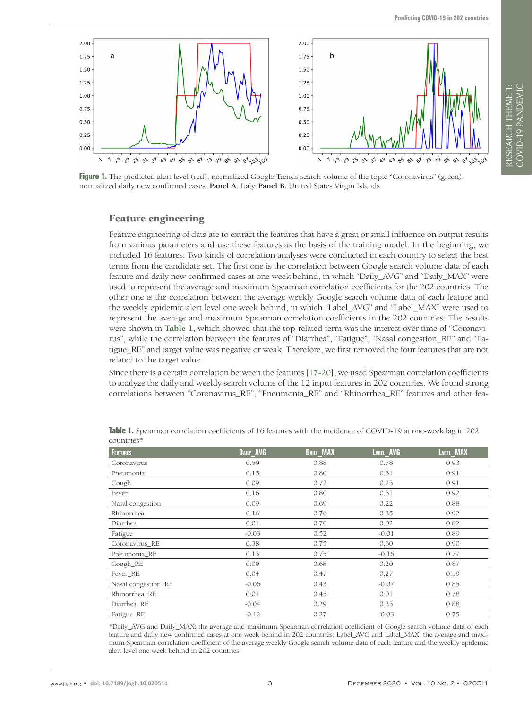RESEARCH THEME 1: VIEWPOINTS COVID-19 PANDEMIC

RESEARCH THEME 1 COVID-19 PANDEMI

<span id="page-2-0"></span>

**Figure 1.** The predicted alert level (red), normalized Google Trends search volume of the topic "Coronavirus" (green), normalized daily new confirmed cases. **Panel A**. Italy. **Panel B.** United States Virgin Islands.

#### Feature engineering

Feature engineering of data are to extract the features that have a great or small influence on output results from various parameters and use these features as the basis of the training model. In the beginning, we included 16 features. Two kinds of correlation analyses were conducted in each country to select the best terms from the candidate set. The first one is the correlation between Google search volume data of each feature and daily new confirmed cases at one week behind, in which "Daily\_AVG" and "Daily\_MAX" were used to represent the average and maximum Spearman correlation coefficients for the 202 countries. The other one is the correlation between the average weekly Google search volume data of each feature and the weekly epidemic alert level one week behind, in which "Label\_AVG" and "Label\_MAX" were used to represent the average and maximum Spearman correlation coefficients in the 202 countries. The results were shown in **[Table 1](#page-2-1)**, which showed that the top-related term was the interest over time of "Coronavirus", while the correlation between the features of "Diarrhea", "Fatigue", "Nasal congestion\_RE" and "Fatigue\_RE" and target value was negative or weak. Therefore, we first removed the four features that are not related to the target value.

Since there is a certain correlation between the features [[17-](#page-7-4)[20](#page-7-5)], we used Spearman correlation coefficients to analyze the daily and weekly search volume of the 12 input features in 202 countries. We found strong correlations between "Coronavirus\_RE", "Pneumonia\_RE" and "Rhinorrhea\_RE" features and other fea-

| <b>FEATURES</b>     | DAILY AVG | <b>DAILY MAX</b> | LABEL AVG | LABEL MAX |
|---------------------|-----------|------------------|-----------|-----------|
| Coronavirus         | 0.59      | 0.88             | 0.78      | 0.93      |
| Pneumonia           | 0.15      | 0.80             | 0.31      | 0.91      |
| Cough               | 0.09      | 0.72             | 0.23      | 0.91      |
| Fever               | 0.16      | 0.80             | 0.31      | 0.92      |
| Nasal congestion    | 0.09      | 0.69             | 0.22      | 0.88      |
| Rhinorrhea          | 0.16      | 0.76             | 0.35      | 0.92      |
| Diarrhea            | 0.01      | 0.70             | 0.02      | 0.82      |
| Fatigue             | $-0.03$   | 0.52             | $-0.01$   | 0.89      |
| Coronavirus RE      | 0.38      | 0.75             | 0.60      | 0.90      |
| Pneumonia RE        | 0.13      | 0.75             | $-0.16$   | 0.77      |
| Cough_RE            | 0.09      | 0.68             | 0.20      | 0.87      |
| Fever_RE            | 0.04      | 0.47             | 0.27      | 0.59      |
| Nasal congestion_RE | $-0.06$   | 0.43             | $-0.07$   | 0.85      |
| Rhinorrhea RE       | 0.01      | 0.45             | 0.01      | 0.78      |
| Diarrhea_RE         | $-0.04$   | 0.29             | 0.23      | 0.88      |
| Fatigue_RE          | $-0.12$   | 0.27             | $-0.03$   | 0.75      |

<span id="page-2-1"></span>**Table 1.** Spearman correlation coefficients of 16 features with the incidence of COVID-19 at one-week lag in 202 countries\*

\*Daily\_AVG and Daily\_MAX: the average and maximum Spearman correlation coefficient of Google search volume data of each feature and daily new confirmed cases at one week behind in 202 countries; Label\_AVG and Label\_MAX: the average and maximum Spearman correlation coefficient of the average weekly Google search volume data of each feature and the weekly epidemic alert level one week behind in 202 countries.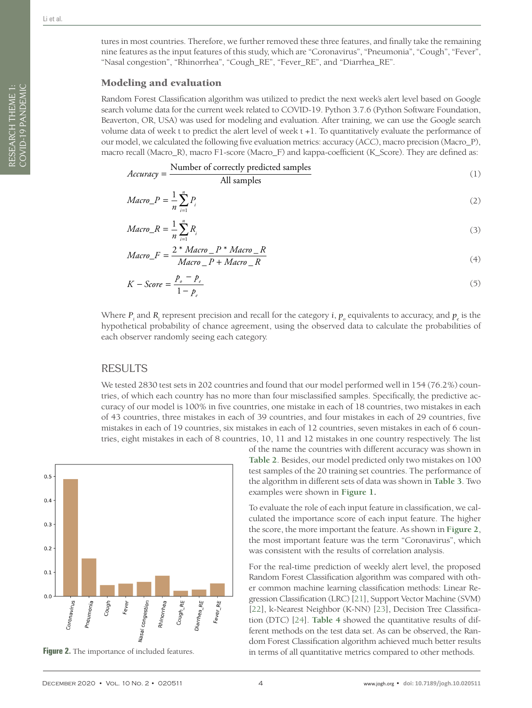### Modeling and evaluation

Random Forest Classification algorithm was utilized to predict the next week's alert level based on Google search volume data for the current week related to COVID-19. Python 3.7.6 (Python Software Foundation, Beaverton, OR, USA) was used for modeling and evaluation. After training, we can use the Google search volume data of week t to predict the alert level of week t +1. To quantitatively evaluate the performance of our model, we calculated the following five evaluation metrics: accuracy (ACC), macro precision (Macro\_P), macro recall (Macro\_R), macro F1-score (Macro\_F) and kappa-coefficient (K\_Score). They are defined as:

$$
Accuracy = \frac{Number of correctly predicted samples}{All samples}
$$
 (1)

$$
Macc_1 = \frac{1}{n} \sum_{i=1}^{n} P_i
$$
 (2)

$$
Macc_{{}}-R = \frac{1}{n} \sum_{i=1}^{n} R_i
$$
\n<sup>(3)</sup>

$$
Macc_ - F = \frac{2 * Macro_ - P * Macro_ - R}{Macro_ - P + Macro_ - R}
$$
\n
$$
\tag{4}
$$

$$
K - Score = \frac{p_o - p_e}{1 - p_e} \tag{5}
$$

Where  $P_i$  and  $R_i$  represent precision and recall for the category *i*,  $p_o$  equivalents to accuracy, and  $p_e$  is the hypothetical probability of chance agreement, using the observed data to calculate the probabilities of each observer randomly seeing each category.

## RESULTS

We tested 2830 test sets in 202 countries and found that our model performed well in 154 (76.2%) countries, of which each country has no more than four misclassified samples. Specifically, the predictive accuracy of our model is 100% in five countries, one mistake in each of 18 countries, two mistakes in each of 43 countries, three mistakes in each of 39 countries, and four mistakes in each of 29 countries, five mistakes in each of 19 countries, six mistakes in each of 12 countries, seven mistakes in each of 6 countries, eight mistakes in each of 8 countries, 10, 11 and 12 mistakes in one country respectively. The list

<span id="page-3-0"></span>

of the name the countries with different accuracy was shown in **[Table 2](#page-4-0)**. Besides, our model predicted only two mistakes on 100 test samples of the 20 training set countries. The performance of the algorithm in different sets of data was shown in **[Table 3](#page-4-1)**. Two examples were shown in **[Figure 1.](#page-2-0)**

To evaluate the role of each input feature in classification, we calculated the importance score of each input feature. The higher the score, the more important the feature. As shown in **[Figure 2](#page-3-0)**, the most important feature was the term "Coronavirus", which was consistent with the results of correlation analysis.

For the real-time prediction of weekly alert level, the proposed Random Forest Classification algorithm was compared with other common machine learning classification methods: Linear Regression Classification (LRC) [[21](#page-7-6)], Support Vector Machine (SVM) [\[22](#page-7-7)], k-Nearest Neighbor (K-NN) [[23](#page-7-8)], Decision Tree Classification (DTC) [\[24](#page-7-9)]. **[Table 4](#page-4-2)** showed the quantitative results of different methods on the test data set. As can be observed, the Random Forest Classification algorithm achieved much better results **Figure 2.** The importance of included features. in terms of all quantitative metrics compared to other methods.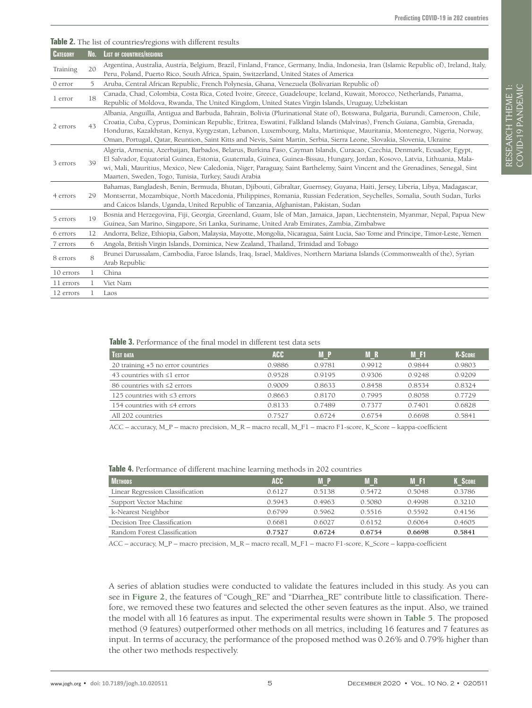| <b>CATEGORY</b> | No. | <b>LIST OF COUNTRIES/REGIONS</b>                                                                                                                                                                                                                                                                                                                                                                                                                                                                                       |  |  |  |  |
|-----------------|-----|------------------------------------------------------------------------------------------------------------------------------------------------------------------------------------------------------------------------------------------------------------------------------------------------------------------------------------------------------------------------------------------------------------------------------------------------------------------------------------------------------------------------|--|--|--|--|
| Training        | 20  | Argentina, Australia, Austria, Belgium, Brazil, Finland, France, Germany, India, Indonesia, Iran (Islamic Republic of), Ireland, Italy,<br>Peru, Poland, Puerto Rico, South Africa, Spain, Switzerland, United States of America                                                                                                                                                                                                                                                                                       |  |  |  |  |
| 0 error         | 5.  | Aruba, Central African Republic, French Polynesia, Ghana, Venezuela (Bolivarian Republic of)                                                                                                                                                                                                                                                                                                                                                                                                                           |  |  |  |  |
| 1 error         | 18  | Canada, Chad, Colombia, Costa Rica, Coted Ivoire, Greece, Guadeloupe, Iceland, Kuwait, Morocco, Netherlands, Panama,<br>Republic of Moldova, Rwanda, The United Kingdom, United States Virgin Islands, Uruguay, Uzbekistan                                                                                                                                                                                                                                                                                             |  |  |  |  |
| 2 errors        | 43  | Albania, Anguilla, Antigua and Barbuda, Bahrain, Bolivia (Plurinational State of), Botswana, Bulgaria, Burundi, Cameroon, Chile,<br>Croatia, Cuba, Cyprus, Dominican Republic, Eritrea, Eswatini, Falkland Islands (Malvinas), French Guiana, Gambia, Grenada,<br>Honduras, Kazakhstan, Kenya, Kyrgyzstan, Lebanon, Luxembourg, Malta, Martinique, Mauritania, Montenegro, Nigeria, Norway,<br>Oman, Portugal, Qatar, Reuntion, Saint Kitts and Nevis, Saint Martin, Serbia, Sierra Leone, Slovakia, Slovenia, Ukraine |  |  |  |  |
| 3 errors        | 39  | Algeria, Armenia, Azerbaijan, Barbados, Belarus, Burkina Faso, Cayman Islands, Curacao, Czechia, Denmark, Ecuador, Egypt,<br>El Salvador, Equatorial Guinea, Estonia, Guatemala, Guinea, Guinea-Bissau, Hungary, Jordan, Kosovo, Latvia, Lithuania, Mala-<br>wi, Mali, Mauritius, Mexico, New Caledonia, Niger, Paraguay, Saint Barthelemy, Saint Vincent and the Grenadines, Senegal, Sint<br>Maarten, Sweden, Togo, Tunisia, Turkey, Saudi Arabia                                                                    |  |  |  |  |
| 4 errors        | 29  | Bahamas, Bangladesh, Benin, Bermuda, Bhutan, Djibouti, Gibraltar, Guernsey, Guyana, Haiti, Jersey, Liberia, Libya, Madagascar,<br>Montserrat, Mozambique, North Macedonia, Philippines, Romania, Russian Federation, Seychelles, Somalia, South Sudan, Turks<br>and Caicos Islands, Uganda, United Republic of Tanzania, Afghanistan, Pakistan, Sudan                                                                                                                                                                  |  |  |  |  |
| 5 errors        | 19  | Bosnia and Herzegovina, Fiji, Georgia, Greenland, Guam, Isle of Man, Jamaica, Japan, Liechtenstein, Myanmar, Nepal, Papua New<br>Guinea, San Marino, Singapore, Sri Lanka, Suriname, United Arab Emirates, Zambia, Zimbabwe                                                                                                                                                                                                                                                                                            |  |  |  |  |
| 6 errors        | 12  | Andorra, Belize, Ethiopia, Gabon, Malaysia, Mayotte, Mongolia, Nicaragua, Saint Lucia, Sao Tome and Principe, Timor-Leste, Yemen                                                                                                                                                                                                                                                                                                                                                                                       |  |  |  |  |
| 7 errors        | 6   | Angola, British Virgin Islands, Dominica, New Zealand, Thailand, Trinidad and Tobago                                                                                                                                                                                                                                                                                                                                                                                                                                   |  |  |  |  |
| 8 errors        | 8   | Brunei Darussalam, Cambodia, Faroe Islands, Iraq, Israel, Maldives, Northern Mariana Islands (Commonwealth of the), Syrian<br>Arab Republic                                                                                                                                                                                                                                                                                                                                                                            |  |  |  |  |
| 10 errors       |     | China                                                                                                                                                                                                                                                                                                                                                                                                                                                                                                                  |  |  |  |  |
| 11 errors       |     | Viet Nam                                                                                                                                                                                                                                                                                                                                                                                                                                                                                                               |  |  |  |  |
| 12 errors       |     | Laos                                                                                                                                                                                                                                                                                                                                                                                                                                                                                                                   |  |  |  |  |

#### <span id="page-4-0"></span>**Table 2.** The list of countries/regions with different results

#### <span id="page-4-1"></span>**Table 3.** Performance of the final model in different test data sets

| <b>TEST DATA</b>                   | <b>ACC</b> | M <sub>P</sub> | M R    | IVI F1 | <b>K-SCORE</b> |
|------------------------------------|------------|----------------|--------|--------|----------------|
| 20 training +5 no error countries  | 0.9886     | 0.9781         | 0.9912 | 0.9844 | 0.9803         |
| 43 countries with $\leq 1$ error   | 0.9528     | 0.9195         | 0.9306 | 0.9248 | 0.9209         |
| 86 countries with $\leq$ errors    | 0.9009     | 0.8633         | 0.8458 | 0.8534 | 0.8324         |
| 125 countries with $\leq$ 3 errors | 0.8663     | 0.8170         | 0.7995 | 0.8058 | 0.7729         |
| 154 countries with $\leq 4$ errors | 0.8133     | 0.7489         | 0.7377 | 0.7401 | 0.6828         |
| All 202 countries                  | 0.7527     | 0.6724         | 0.6754 | 0.6698 | 0.5841         |

ACC – accuracy, M\_P – macro precision, M\_R – macro recall, M\_F1 – macro F1-score, K\_Score – kappa-coefficient

| <b>METHODS</b>                   | <b>ACC</b> | M P    | MR.    | <b>MF1</b> | K Score |
|----------------------------------|------------|--------|--------|------------|---------|
| Linear Regression Classification | 0.6127     | 0.5138 | 0.5472 | 0.5048     | 0.3786  |
| Support Vector Machine           | 0.5943     | 0.4963 | 0.5080 | 0.4998     | 0.3210  |
| k-Nearest Neighbor               | 0.6799     | 0.5962 | 0.5516 | 0.5592     | 0.4156  |
| Decision Tree Classification     | 0.6681     | 0.6027 | 0.6152 | 0.6064     | 0.4605  |
| Random Forest Classification     | 0.7527     | 0.6724 | 0.6754 | 0.6698     | 0.5841  |

#### <span id="page-4-2"></span>**Table 4.** Performance of different machine learning methods in 202 countries

ACC – accuracy, M\_P – macro precision, M\_R – macro recall, M\_F1 – macro F1-score, K\_Score – kappa-coefficient

A series of ablation studies were conducted to validate the features included in this study. As you can see in **[Figure 2](#page-3-0)**, the features of "Cough\_RE" and "Diarrhea\_RE" contribute little to classification. Therefore, we removed these two features and selected the other seven features as the input. Also, we trained the model with all 16 features as input. The experimental results were shown in **[Table 5](#page-5-0)**. The proposed method (9 features) outperformed other methods on all metrics, including 16 features and 7 features as input. In terms of accuracy, the performance of the proposed method was 0.26% and 0.79% higher than the other two methods respectively.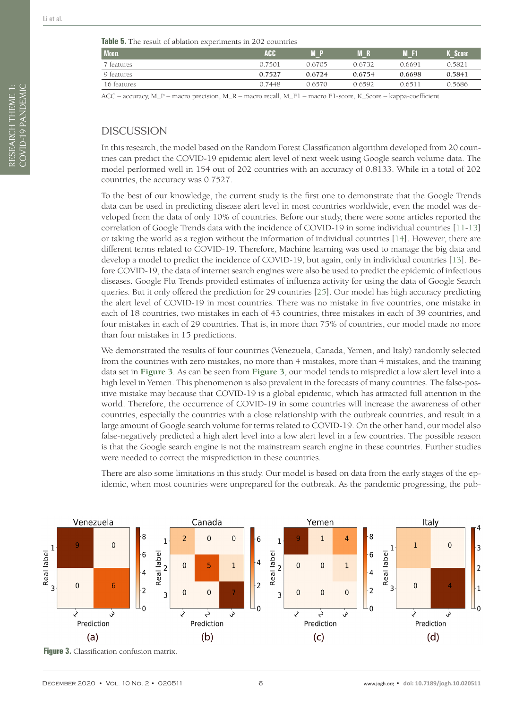<span id="page-5-0"></span>

| Table 5. The result of ablation experiments in 202 countries |  |
|--------------------------------------------------------------|--|
|--------------------------------------------------------------|--|

| THEN TO THE TAXABLE OF MATHEMATIC COMPANIES OF THE TAX TO MOVEMENT |        |        |        |        |                |  |
|--------------------------------------------------------------------|--------|--------|--------|--------|----------------|--|
| <b>MODEL</b>                                                       | ACC.   |        | M R    | M F1   | <b>K</b> SCORE |  |
| 7 features                                                         | 0.7501 | 0.6705 | 0.6732 | 0.6691 | 0.5821         |  |
| 9 features                                                         | 0.7527 | 0.6724 | 0.6754 | 0.6698 | 0.5841         |  |
| 16 features                                                        | 0.7448 | 0.6570 | 0.6592 | 0.6511 | 0.5686         |  |

ACC – accuracy, M\_P – macro precision, M\_R – macro recall, M\_F1 – macro F1-score, K\_Score – kappa-coefficient

## DISCUSSION

In this research, the model based on the Random Forest Classification algorithm developed from 20 countries can predict the COVID-19 epidemic alert level of next week using Google search volume data. The model performed well in 154 out of 202 countries with an accuracy of 0.8133. While in a total of 202 countries, the accuracy was 0.7527.

To the best of our knowledge, the current study is the first one to demonstrate that the Google Trends data can be used in predicting disease alert level in most countries worldwide, even the model was developed from the data of only 10% of countries. Before our study, there were some articles reported the correlation of Google Trends data with the incidence of COVID-19 in some individual countries [\[11](#page-6-10)[-13](#page-7-0)] or taking the world as a region without the information of individual countries [[14\]](#page-7-1). However, there are different terms related to COVID-19. Therefore, Machine learning was used to manage the big data and develop a model to predict the incidence of COVID-19, but again, only in individual countries [\[13\]](#page-7-0). Before COVID-19, the data of internet search engines were also be used to predict the epidemic of infectious diseases. Google Flu Trends provided estimates of influenza activity for using the data of Google Search queries. But it only offered the prediction for 29 countries [[25](#page-7-10)]. Our model has high accuracy predicting the alert level of COVID-19 in most countries. There was no mistake in five countries, one mistake in each of 18 countries, two mistakes in each of 43 countries, three mistakes in each of 39 countries, and four mistakes in each of 29 countries. That is, in more than 75% of countries, our model made no more than four mistakes in 15 predictions.

We demonstrated the results of four countries (Venezuela, Canada, Yemen, and Italy) randomly selected from the countries with zero mistakes, no more than 4 mistakes, more than 4 mistakes, and the training data set in **[Figure 3](#page-5-1)**. As can be seen from **[Figure 3](#page-5-1)**, our model tends to mispredict a low alert level into a high level in Yemen. This phenomenon is also prevalent in the forecasts of many countries. The false-positive mistake may because that COVID-19 is a global epidemic, which has attracted full attention in the world. Therefore, the occurrence of COVID-19 in some countries will increase the awareness of other countries, especially the countries with a close relationship with the outbreak countries, and result in a large amount of Google search volume for terms related to COVID-19. On the other hand, our model also false-negatively predicted a high alert level into a low alert level in a few countries. The possible reason is that the Google search engine is not the mainstream search engine in these countries. Further studies were needed to correct the misprediction in these countries.

There are also some limitations in this study. Our model is based on data from the early stages of the epidemic, when most countries were unprepared for the outbreak. As the pandemic progressing, the pub-

<span id="page-5-1"></span>

**Figure 3.** Classification confusion matrix.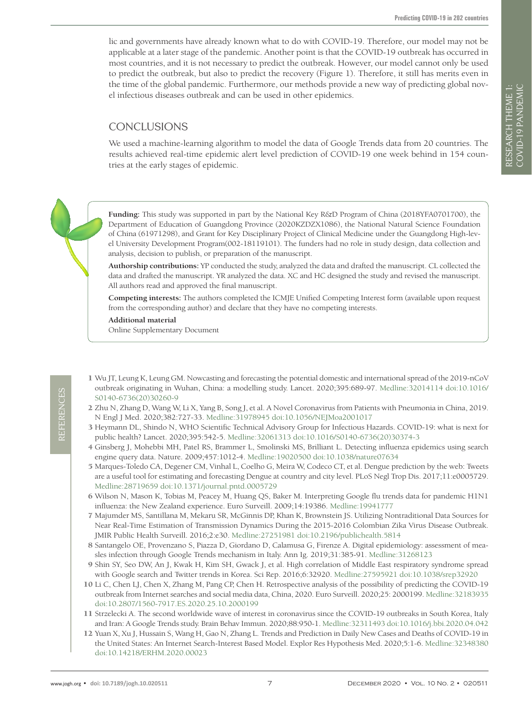lic and governments have already known what to do with COVID-19. Therefore, our model may not be applicable at a later stage of the pandemic. Another point is that the COVID-19 outbreak has occurred in most countries, and it is not necessary to predict the outbreak. However, our model cannot only be used to predict the outbreak, but also to predict the recovery (Figure 1). Therefore, it still has merits even in the time of the global pandemic. Furthermore, our methods provide a new way of predicting global novel infectious diseases outbreak and can be used in other epidemics.

## CONCLUSIONS

We used a machine-learning algorithm to model the data of Google Trends data from 20 countries. The results achieved real-time epidemic alert level prediction of COVID-19 one week behind in 154 countries at the early stages of epidemic.

REFERENCES

**REFERENCES** 

**Funding:** This study was supported in part by the National Key R&D Program of China (2018YFA0701700), the Department of Education of Guangdong Province (2020KZDZX1086), the National Natural Science Foundation of China (61971298), and Grant for Key Disciplinary Project of Clinical Medicine under the Guangdong High-level University Development Program(002-18119101). The funders had no role in study design, data collection and analysis, decision to publish, or preparation of the manuscript.

**Authorship contributions:** YP conducted the study, analyzed the data and drafted the manuscript. CL collected the data and drafted the manuscript. YR analyzed the data. XC and HC designed the study and revised the manuscript. All authors read and approved the final manuscript.

**Competing interests:** The authors completed the ICMJE Unified Competing Interest form (available upon request from the corresponding author) and declare that they have no competing interests.

#### <span id="page-6-12"></span>**Additional material**

[Online Supplementary Document](http://jogh.org/documents/issue202001/jogh-10-020511-s001.pdf)

- <span id="page-6-0"></span> 1 Wu JT, Leung K, Leung GM. Nowcasting and forecasting the potential domestic and international spread of the 2019-nCoV outbreak originating in Wuhan, China: a modelling study. Lancet. 2020;395:689-97. [Medline:32014114](https://www.ncbi.nlm.nih.gov/entrez/query.fcgi?cmd=Retrieve&db=PubMed&list_uids=32014114&dopt=Abstract) [doi:10.1016/](https://doi.org/10.1016/S0140-6736(20)30260-9) [S0140-6736\(20\)30260-9](https://doi.org/10.1016/S0140-6736(20)30260-9)
- <span id="page-6-1"></span> 2 Zhu N, Zhang D, Wang W, Li X, Yang B, Song J, et al. A Novel Coronavirus from Patients with Pneumonia in China, 2019. N Engl J Med. 2020;382:727-33. [Medline:31978945](https://www.ncbi.nlm.nih.gov/entrez/query.fcgi?cmd=Retrieve&db=PubMed&list_uids=31978945&dopt=Abstract) [doi:10.1056/NEJMoa2001017](https://doi.org/10.1056/NEJMoa2001017)
- <span id="page-6-2"></span> 3 Heymann DL, Shindo N, WHO Scientific Technical Advisory Group for Infectious Hazards. COVID-19: what is next for public health? Lancet. 2020;395:542-5. [Medline:32061313](https://www.ncbi.nlm.nih.gov/entrez/query.fcgi?cmd=Retrieve&db=PubMed&list_uids=32061313&dopt=Abstract) [doi:10.1016/S0140-6736\(20\)30374-3](https://doi.org/10.1016/S0140-6736(20)30374-3)
- <span id="page-6-3"></span> 4 Ginsberg J, Mohebbi MH, Patel RS, Brammer L, Smolinski MS, Brilliant L. Detecting influenza epidemics using search engine query data. Nature. 2009;457:1012-4. [Medline:19020500](https://www.ncbi.nlm.nih.gov/entrez/query.fcgi?cmd=Retrieve&db=PubMed&list_uids=19020500&dopt=Abstract) [doi:10.1038/nature07634](https://doi.org/10.1038/nature07634)
- <span id="page-6-4"></span> 5 Marques-Toledo CA, Degener CM, Vinhal L, Coelho G, Meira W, Codeco CT, et al. Dengue prediction by the web: Tweets are a useful tool for estimating and forecasting Dengue at country and city level. PLoS Negl Trop Dis. 2017;11:e0005729. [Medline:28719659](https://www.ncbi.nlm.nih.gov/entrez/query.fcgi?cmd=Retrieve&db=PubMed&list_uids=28719659&dopt=Abstract) [doi:10.1371/journal.pntd.0005729](https://doi.org/10.1371/journal.pntd.0005729)
- <span id="page-6-5"></span> 6 Wilson N, Mason K, Tobias M, Peacey M, Huang QS, Baker M. Interpreting Google flu trends data for pandemic H1N1 influenza: the New Zealand experience. Euro Surveill. 2009;14:19386. [Medline:19941777](https://www.ncbi.nlm.nih.gov/entrez/query.fcgi?cmd=Retrieve&db=PubMed&list_uids=19941777&dopt=Abstract)
- <span id="page-6-6"></span> 7 Majumder MS, Santillana M, Mekaru SR, McGinnis DP, Khan K, Brownstein JS. Utilizing Nontraditional Data Sources for Near Real-Time Estimation of Transmission Dynamics During the 2015-2016 Colombian Zika Virus Disease Outbreak. JMIR Public Health Surveill. 2016;2:e30. [Medline:27251981](https://www.ncbi.nlm.nih.gov/entrez/query.fcgi?cmd=Retrieve&db=PubMed&list_uids=27251981&dopt=Abstract) [doi:10.2196/publichealth.5814](https://doi.org/10.2196/publichealth.5814)
- <span id="page-6-7"></span> 8 Santangelo OE, Provenzano S, Piazza D, Giordano D, Calamusa G, Firenze A. Digital epidemiology: assessment of measles infection through Google Trends mechanism in Italy. Ann Ig. 2019;31:385-91. [Medline:31268123](https://www.ncbi.nlm.nih.gov/entrez/query.fcgi?cmd=Retrieve&db=PubMed&list_uids=31268123&dopt=Abstract)
- <span id="page-6-8"></span> 9 Shin SY, Seo DW, An J, Kwak H, Kim SH, Gwack J, et al. High correlation of Middle East respiratory syndrome spread with Google search and Twitter trends in Korea. Sci Rep. 2016;6:32920. [Medline:27595921](https://www.ncbi.nlm.nih.gov/entrez/query.fcgi?cmd=Retrieve&db=PubMed&list_uids=27595921&dopt=Abstract) [doi:10.1038/srep32920](https://doi.org/10.1038/srep32920)
- <span id="page-6-9"></span>10 Li C, Chen LJ, Chen X, Zhang M, Pang CP, Chen H. Retrospective analysis of the possibility of predicting the COVID-19 outbreak from Internet searches and social media data, China, 2020. Euro Surveill. 2020;25: 2000199. [Medline:32183935](https://www.ncbi.nlm.nih.gov/entrez/query.fcgi?cmd=Retrieve&db=PubMed&list_uids=32183935&dopt=Abstract) [doi:10.2807/1560-7917.ES.2020.25.10.2000199](https://doi.org/10.2807/1560-7917.ES.2020.25.10.2000199)
- <span id="page-6-10"></span>11 Strzelecki A. The second worldwide wave of interest in coronavirus since the COVID-19 outbreaks in South Korea, Italy and Iran: A Google Trends study. Brain Behav Immun. 2020;88:950-1. [Medline:32311493](https://www.ncbi.nlm.nih.gov/entrez/query.fcgi?cmd=Retrieve&db=PubMed&list_uids=32311493&dopt=Abstract) [doi:10.1016/j.bbi.2020.04.042](https://doi.org/10.1016/j.bbi.2020.04.042)
- <span id="page-6-11"></span>12 Yuan X, Xu J, Hussain S, Wang H, Gao N, Zhang L. Trends and Prediction in Daily New Cases and Deaths of COVID-19 in the United States: An Internet Search-Interest Based Model. Explor Res Hypothesis Med. 2020;5:1-6. [Medline:32348380](https://www.ncbi.nlm.nih.gov/entrez/query.fcgi?cmd=Retrieve&db=PubMed&list_uids=32348380&dopt=Abstract) [doi:10.14218/ERHM.2020.00023](https://doi.org/10.14218/ERHM.2020.00023)